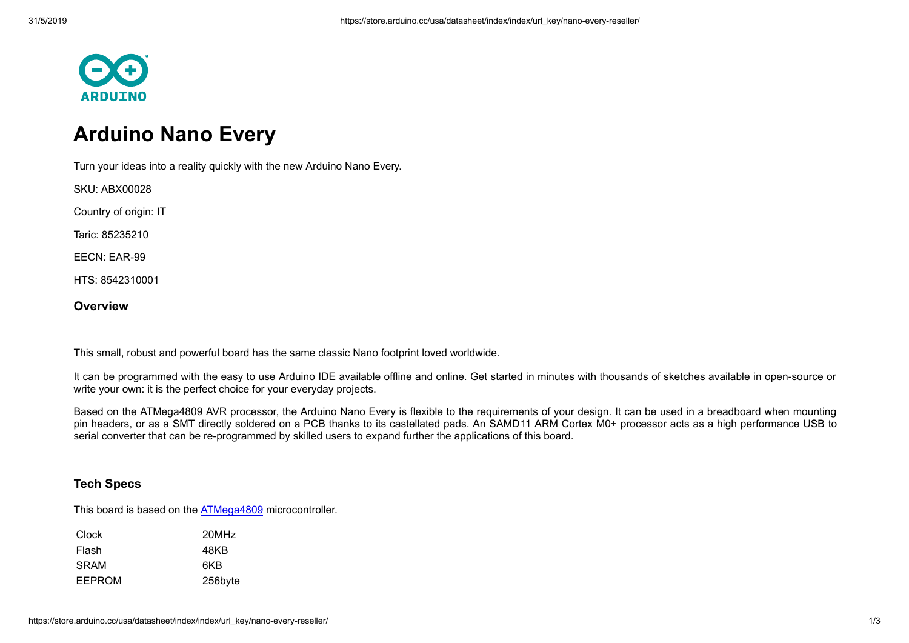

## **Arduino Nano Every**

Turn your ideas into a reality quickly with the new Arduino Nano Every.

SKU: ABX00028

Country of origin: IT

Taric: 85235210

EECN: EAR-99

HTS: 8542310001

## **Overview**

This small, robust and powerful board has the same classic Nano footprint loved worldwide.

It can be programmed with the easy to use Arduino IDE available offline and online. Get started in minutes with thousands of sketches available in open-source or write your own: it is the perfect choice for your everyday projects.

Based on the ATMega4809 AVR processor, the Arduino Nano Every is flexible to the requirements of your design. It can be used in a breadboard when mounting pin headers, or as a SMT directly soldered on a PCB thanks to its castellated pads. An SAMD11 ARM Cortex M0+ processor acts as a high performance USB to serial converter that can be re-programmed by skilled users to expand further the applications of this board.

## **Tech Specs**

This board is based on the **ATMega4809** microcontroller.

| <b>Clock</b> | 20MHz   |
|--------------|---------|
| Flash        | 48KB    |
| SRAM         | 6KB     |
| EEPROM       | 256byte |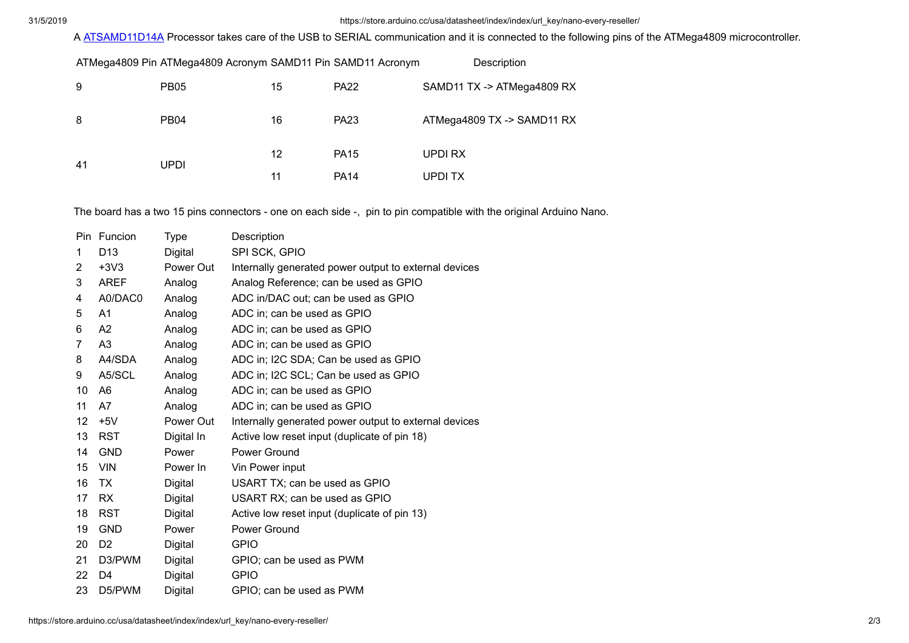## 31/5/2019 https://store.arduino.cc/usa/datasheet/index/index/url\_key/nano-every-reseller/

A [ATSAMD11D14A](http://ww1.microchip.com/downloads/en/DeviceDoc/Atmel-42363-SAM-D11_Datasheet.pdf) Processor takes care of the USB to SERIAL communication and it is connected to the following pins of the ATMega4809 microcontroller.

|    | ATMega4809 Pin ATMega4809 Acronym SAMD11 Pin SAMD11 Acronym |    |             | Description                |
|----|-------------------------------------------------------------|----|-------------|----------------------------|
| 9  | <b>PB05</b>                                                 | 15 | <b>PA22</b> | SAMD11 TX -> ATMega4809 RX |
| 8  | PB <sub>04</sub>                                            | 16 | <b>PA23</b> | ATMega4809 TX -> SAMD11 RX |
| 41 | UPDI                                                        | 12 | <b>PA15</b> | UPDI RX                    |
|    |                                                             | 11 | <b>PA14</b> | UPDI TX                    |

The board has a two 15 pins connectors - one on each side -, pin to pin compatible with the original Arduino Nano.

|    | Pin Funcion     | Type       | Description                                           |
|----|-----------------|------------|-------------------------------------------------------|
| 1  | D <sub>13</sub> | Digital    | SPI SCK, GPIO                                         |
| 2  | $+3V3$          | Power Out  | Internally generated power output to external devices |
| 3  | <b>AREF</b>     | Analog     | Analog Reference; can be used as GPIO                 |
| 4  | A0/DAC0         | Analog     | ADC in/DAC out; can be used as GPIO                   |
| 5  | A1              | Analog     | ADC in; can be used as GPIO                           |
| 6  | A <sub>2</sub>  | Analog     | ADC in; can be used as GPIO                           |
| 7  | A <sub>3</sub>  | Analog     | ADC in; can be used as GPIO                           |
| 8  | A4/SDA          | Analog     | ADC in; I2C SDA; Can be used as GPIO                  |
| 9  | A5/SCL          | Analog     | ADC in; I2C SCL; Can be used as GPIO                  |
| 10 | A <sub>6</sub>  | Analog     | ADC in; can be used as GPIO                           |
| 11 | A7              | Analog     | ADC in; can be used as GPIO                           |
| 12 | $+5V$           | Power Out  | Internally generated power output to external devices |
| 13 | <b>RST</b>      | Digital In | Active low reset input (duplicate of pin 18)          |
| 14 | <b>GND</b>      | Power      | Power Ground                                          |
| 15 | <b>VIN</b>      | Power In   | Vin Power input                                       |
| 16 | TX.             | Digital    | USART TX; can be used as GPIO                         |
| 17 | <b>RX</b>       | Digital    | USART RX; can be used as GPIO                         |
| 18 | <b>RST</b>      | Digital    | Active low reset input (duplicate of pin 13)          |
| 19 | <b>GND</b>      | Power      | Power Ground                                          |
| 20 | D <sub>2</sub>  | Digital    | <b>GPIO</b>                                           |
| 21 | D3/PWM          | Digital    | GPIO; can be used as PWM                              |
| 22 | D4              | Digital    | <b>GPIO</b>                                           |
| 23 | D5/PWM          | Digital    | GPIO; can be used as PWM                              |